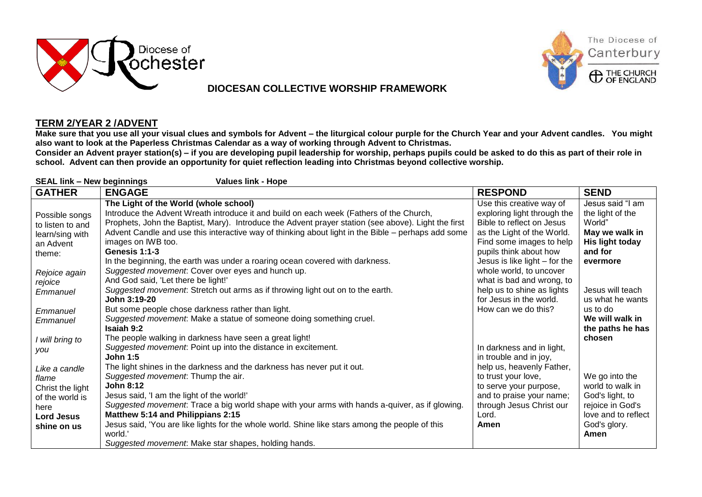

## **DIOCESAN COLLECTIVE WORSHIP FRAMEWORK**



## **TERM 2/YEAR 2 /ADVENT**

**Make sure that you use all your visual clues and symbols for Advent – the liturgical colour purple for the Church Year and your Advent candles. You might also want to look at the Paperless Christmas Calendar as a way of working through Advent to Christmas.**

**Consider an Advent prayer station(s) – if you are developing pupil leadership for worship, perhaps pupils could be asked to do this as part of their role in school. Advent can then provide an opportunity for quiet reflection leading into Christmas beyond collective worship.**

| <b>SEAL link - New beginnings</b><br><b>Values link - Hope</b>                                            |                                                                                                                                                                                                                                                                                                                                                                                                                                                                                              |                                                                                                                                                                                                           |                                                                                                                          |  |
|-----------------------------------------------------------------------------------------------------------|----------------------------------------------------------------------------------------------------------------------------------------------------------------------------------------------------------------------------------------------------------------------------------------------------------------------------------------------------------------------------------------------------------------------------------------------------------------------------------------------|-----------------------------------------------------------------------------------------------------------------------------------------------------------------------------------------------------------|--------------------------------------------------------------------------------------------------------------------------|--|
| <b>GATHER</b>                                                                                             | <b>ENGAGE</b>                                                                                                                                                                                                                                                                                                                                                                                                                                                                                | <b>RESPOND</b>                                                                                                                                                                                            | <b>SEND</b>                                                                                                              |  |
| Possible songs<br>to listen to and<br>learn/sing with<br>an Advent<br>theme:                              | The Light of the World (whole school)<br>Introduce the Advent Wreath introduce it and build on each week (Fathers of the Church,<br>Prophets, John the Baptist, Mary). Introduce the Advent prayer station (see above). Light the first<br>Advent Candle and use this interactive way of thinking about light in the Bible – perhaps add some<br>images on IWB too.<br>Genesis 1:1-3<br>In the beginning, the earth was under a roaring ocean covered with darkness.                         | Use this creative way of<br>exploring light through the<br>Bible to reflect on Jesus<br>as the Light of the World.<br>Find some images to help<br>pupils think about how<br>Jesus is like light - for the | Jesus said "I am<br>the light of the<br>World"<br>May we walk in<br>His light today<br>and for<br>evermore               |  |
| Rejoice again<br>rejoice<br>Emmanuel                                                                      | Suggested movement: Cover over eyes and hunch up.<br>And God said, 'Let there be light!'<br>Suggested movement. Stretch out arms as if throwing light out on to the earth.<br>John 3:19-20                                                                                                                                                                                                                                                                                                   | whole world, to uncover<br>what is bad and wrong, to<br>help us to shine as lights<br>for Jesus in the world.                                                                                             | Jesus will teach<br>us what he wants                                                                                     |  |
| Emmanuel<br>Emmanuel                                                                                      | But some people chose darkness rather than light.<br>Suggested movement. Make a statue of someone doing something cruel.<br><b>Isaiah 9:2</b>                                                                                                                                                                                                                                                                                                                                                | How can we do this?                                                                                                                                                                                       | us to do<br>We will walk in<br>the paths he has                                                                          |  |
| I will bring to<br>you                                                                                    | The people walking in darkness have seen a great light!<br>Suggested movement: Point up into the distance in excitement.<br><b>John 1:5</b>                                                                                                                                                                                                                                                                                                                                                  | In darkness and in light,<br>in trouble and in joy,                                                                                                                                                       | chosen                                                                                                                   |  |
| Like a candle<br>flame<br>Christ the light<br>of the world is<br>here<br><b>Lord Jesus</b><br>shine on us | The light shines in the darkness and the darkness has never put it out.<br>Suggested movement: Thump the air.<br><b>John 8:12</b><br>Jesus said, 'I am the light of the world!'<br>Suggested movement: Trace a big world shape with your arms with hands a-quiver, as if glowing.<br>Matthew 5:14 and Philippians 2:15<br>Jesus said, 'You are like lights for the whole world. Shine like stars among the people of this<br>world.'<br>Suggested movement: Make star shapes, holding hands. | help us, heavenly Father,<br>to trust your love,<br>to serve your purpose,<br>and to praise your name;<br>through Jesus Christ our<br>Lord.<br>Amen                                                       | We go into the<br>world to walk in<br>God's light, to<br>rejoice in God's<br>love and to reflect<br>God's glory.<br>Amen |  |